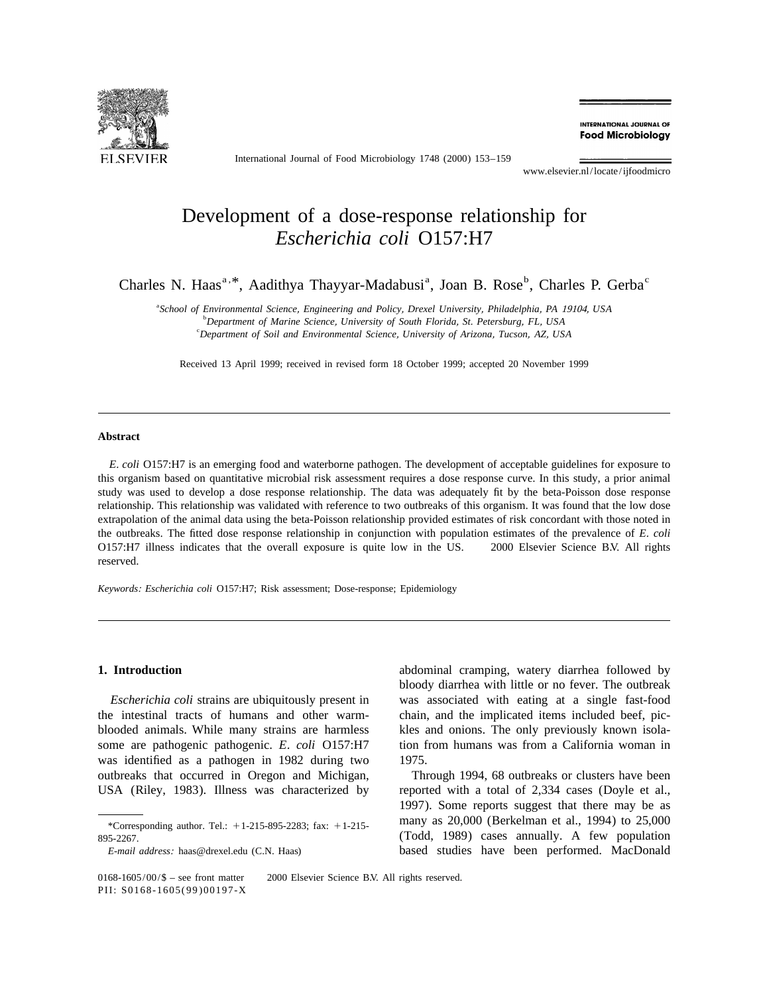

International Journal of Food Microbiology 1748 (2000) 153–159

INTERNATIONAL IOURNAL OF **Food Microbiology** 

www.elsevier.nl/locate/ijfoodmicro

# Development of a dose-response relationship for *Escherichia coli* O157:H7

Charles N. Haas<sup>a, \*</sup>, Aadithya Thayyar-Madabusi<sup>a</sup>, Joan B. Rose<sup>b</sup>, Charles P. Gerba<sup>c</sup>

a *School of Environmental Science*, *Engineering and Policy*, *Drexel University*, *Philadelphia*, *PA* 19104, *USA* b *Department of Marine Science*, *University of South Florida*, *St*. *Petersburg*, *FL*, *USA* c *Department of Soil and Environmental Science*, *University of Arizona*, *Tucson*, *AZ*, *USA*

Received 13 April 1999; received in revised form 18 October 1999; accepted 20 November 1999

## **Abstract**

*E*. *coli* O157:H7 is an emerging food and waterborne pathogen. The development of acceptable guidelines for exposure to this organism based on quantitative microbial risk assessment requires a dose response curve. In this study, a prior animal study was used to develop a dose response relationship. The data was adequately fit by the beta-Poisson dose response relationship. This relationship was validated with reference to two outbreaks of this organism. It was found that the low dose extrapolation of the animal data using the beta-Poisson relationship provided estimates of risk concordant with those noted in the outbreaks. The fitted dose response relationship in conjunction with population estimates of the prevalence of *E*. *coli* O157:H7 illness indicates that the overall exposure is quite low in the US.  $\odot$  2000 Elsevier Science B.V. All rights reserved.

*Keywords*: *Escherichia coli* O157:H7; Risk assessment; Dose-response; Epidemiology

the intestinal tracts of humans and other warm- chain, and the implicated items included beef, picblooded animals. While many strains are harmless kles and onions. The only previously known isolasome are pathogenic pathogenic. *E*. *coli* O157:H7 tion from humans was from a California woman in was identified as a pathogen in 1982 during two 1975. outbreaks that occurred in Oregon and Michigan, Through 1994, 68 outbreaks or clusters have been USA (Riley, 1983). Illness was characterized by reported with a total of 2,334 cases (Doyle et al.,

**1. Introduction** abdominal cramping, watery diarrhea followed by bloody diarrhea with little or no fever. The outbreak *Escherichia coli* strains are ubiquitously present in was associated with eating at a single fast-food

1997). Some reports suggest that there may be as \*Corresponding author. Tel.:  $+1$ -215-895-2283; fax:  $+1$ -215- $+1$ -215- $+1$ -215- $+1$ -215- $+1$ -215- $+1$  $895-2267$ . (Todd, 1989) cases annually. A few population *E*-*mail address*: haas@drexel.edu (C.N. Haas) based studies have been performed. MacDonald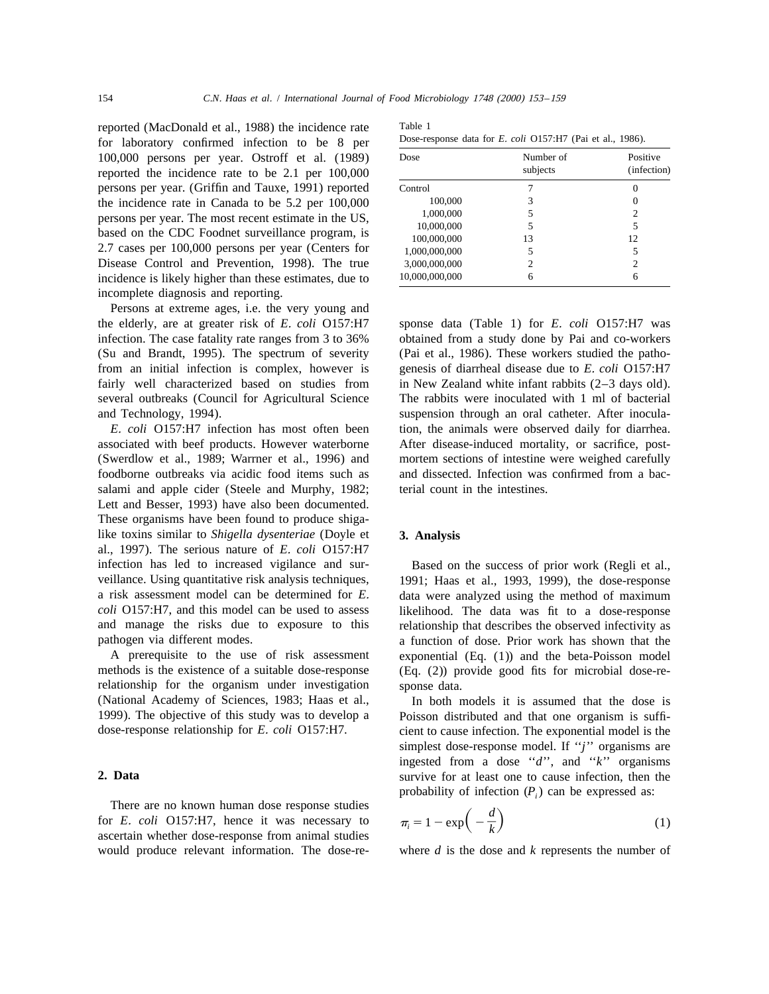reported (MacDonald et al., 1988) the incidence rate Table 1 for laboratory confirmed infection to be 8 per  $100,000$  persons per year. Ostroff et al.  $(1989)$ reported the incidence rate to be  $2.1$  per  $100,000$ persons per year. (Griffin and Tauxe, 1991) reported the incidence rate in Canada to be  $5.2$  per  $100,000$ persons per year. The most recent estimate in the US, based on the CDC Foodnet surveillance program, is 2.7 cases per 100,000 persons per year (Centers for Disease Control and Prevention, 1998). The true incidence is likely higher than these estimates, due to incomplete diagnosis and reporting.

Persons at extreme ages, i.e. the very young and the elderly, are at greater risk of *E*. *coli* O157:H7 sponse data (Table 1) for *E*. *coli* O157:H7 was infection. The case fatality rate ranges from 3 to 36% obtained from a study done by Pai and co-workers (Su and Brandt, 1995). The spectrum of severity (Pai et al., 1986). These workers studied the pathofrom an initial infection is complex, however is genesis of diarrheal disease due to *E*. *coli* O157:H7 fairly well characterized based on studies from in New Zealand white infant rabbits (2-3 days old). several outbreaks (Council for Agricultural Science The rabbits were inoculated with 1 ml of bacterial and Technology, 1994). suspension through an oral catheter. After inocula-

associated with beef products. However waterborne After disease-induced mortality, or sacrifice, post- (Swerdlow et al., 1989; Warrner et al., 1996) and mortem sections of intestine were weighed carefully foodborne outbreaks via acidic food items such as and dissected. Infection was confirmed from a bacsalami and apple cider (Steele and Murphy, 1982; terial count in the intestines. Lett and Besser, 1993) have also been documented. These organisms have been found to produce shigalike toxins similar to *Shigella dysenteriae* (Doyle et **3. Analysis** al., 1997). The serious nature of *E*. *coli* O157:H7 infection has led to increased vigilance and sur- Based on the success of prior work (Regli et al., veillance. Using quantitative risk analysis techniques,  $1991$ ; Haas et al., 1993, 1999), the dose-response a risk assessment model can be determined for  $E$ . data were analyzed using the method of maximum a risk assessment model can be determined for *E*. data were analyzed using the method of maximum *coli* O157:H7, and this model can be used to assess likelihood. The data was fit to a dose-response

methods is the existence of a suitable dose-response (Eq. (2)) provide good fits for microbial dose-rerelationship for the organism under investigation sponse data.<br>(National Academy of Sciences, 1983; Haas et al., In both r

There are no known human dose response studies for *E*. *coli* O157:H7, hence it was necessary to ascertain whether dose-response from animal studies would produce relevant information. The dose-re- where *d* is the dose and *k* represents the number of

| lable 1                                                           |  |  |  |  |
|-------------------------------------------------------------------|--|--|--|--|
| Dose-response data for <i>E. coli</i> O157:H7 (Pai et al., 1986). |  |  |  |  |

| Dose           | Number of<br>subjects | Positive<br>(infection) |  |
|----------------|-----------------------|-------------------------|--|
| Control        |                       |                         |  |
| 100,000        | 3                     |                         |  |
| 1,000,000      | 5                     | 2                       |  |
| 10,000,000     | 5                     | 5                       |  |
| 100,000,000    | 13                    | 12                      |  |
| 1,000,000,000  | 5                     | 5                       |  |
| 3,000,000,000  | $\overline{c}$        | 2                       |  |
| 10,000,000,000 | 6                     | 6                       |  |

*E*. *coli* O157:H7 infection has most often been tion, the animals were observed daily for diarrhea.

likelihood. The data was fit to a dose-response and manage the risks due to exposure to this relationship that describes the observed infectivity as pathogen via different modes.<br>
a function of dose. Prior work has shown that the thogen via different modes.<br>
A prerequisite to the use of risk assessment exponential (Eq. (1)) and the beta-Poisson model exponential  $(Eq. (1))$  and the beta-Poisson model

In both models it is assumed that the dose is 1999). The objective of this study was to develop a Poisson distributed and that one organism is suffi-<br>dose-response relationship for E. coli O157:H7. cient to cause infection. The exponential model is the cient to cause infection. The exponential model is the simplest dose-response model. If ''*j*'' organisms are ingested from a dose ''*d*'', and ''*k*'' organisms **2. Data** survive for at least one to cause infection, then the probability of infection  $(P_i)$  can be expressed as:

$$
\pi_i = 1 - \exp\left(-\frac{d}{k}\right) \tag{1}
$$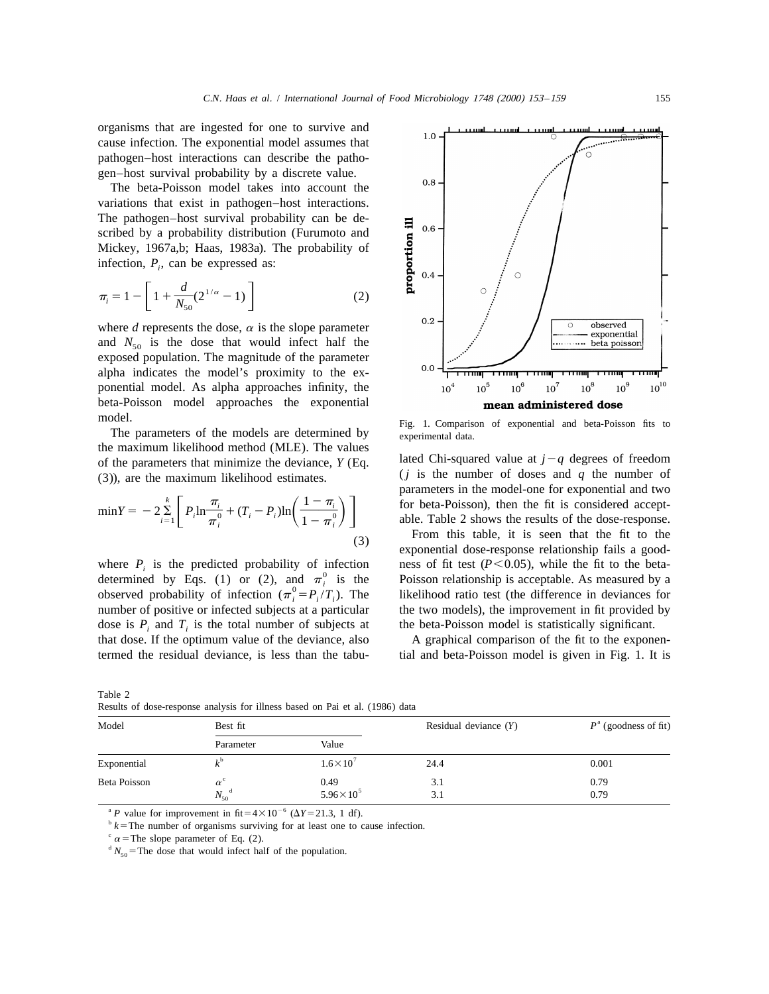organisms that are ingested for one to survive and cause infection. The exponential model assumes that pathogen–host interactions can describe the pathogen–host survival probability by a discrete value.

The beta-Poisson model takes into account the variations that exist in pathogen–host interactions. The pathogen–host survival probability can be described by a probability distribution (Furumoto and Mickey, 1967a,b; Haas, 1983a). The probability of infection,  $P_i$ , can be expressed as:

$$
\pi_i = 1 - \left[ 1 + \frac{d}{N_{50}} (2^{1/\alpha} - 1) \right]
$$
 (2)

where *d* represents the dose,  $\alpha$  is the slope parameter and  $N_{50}$  is the dose that would infect half the exposed population. The magnitude of the parameter alpha indicates the model's proximity to the exponential model. As alpha approaches infinity, the beta-Poisson model approaches the exponential

the maximum likelihood method (MLE). The values of the parameters that minimize the deviance,  $Y$  (Eq. lated Chi-squared value at  $j - q$  degrees of freedom (3)), are the maximum likelihood estimates.  $(j$  is the number of doses and *q* the number of

$$
\min Y = -2 \sum_{i=1}^{k} \left[ P_i \ln \frac{\pi_i}{\pi_i^0} + (T_i - P_i) \ln \left( \frac{1 - \pi_i}{1 - \pi_i^0} \right) \right]
$$
(3)

where  $P_i$  is the predicted probability of infection ness of fit test ( $P < 0.05$ ), while the fit to the beta-<br>determined by Eqs. (1) or (2), and  $\pi_i^0$  is the Poisson relationship is acceptable. As measured by a<br>observed number of positive or infected subjects at a particular the two models), the improvement in fit provided by dose is  $P_i$  and  $T_i$  is the total number of subjects at the beta-Poisson model is statistically significant. *i* that dose. If the optimum value of the deviance, also A graphical comparison of the fit to the exponenthat dose. If the optimum value of the deviance, also termed the residual deviance, is less than the tabu- tial and beta-Poisson model is given in Fig. 1. It is



model.<br>
The parameters of the models are determined by Fig. 1. Comparison of exponential and beta-Poisson fits to experimental data.

parameters in the model-one for exponential and two  $\min Y = -2 \sum_{i=1}^{k} \left[ P_i \ln \frac{\pi_i}{\pi_i^0} + (T_i - P_i) \ln \left( \frac{1 - \pi_i}{1 - \pi_i^0} \right) \right]$  parameters in the model-one for exponential and two<br>for beta-Poisson), then the fit is considered accept-<br>able. Table 2 shows the results of the do

From this table, it is seen that the fit to the exponential dose-response relationship fails a good-

|              |                         |                              |                         | $P^{\text{a}}$ (goodness of fit) |  |
|--------------|-------------------------|------------------------------|-------------------------|----------------------------------|--|
| Model        | Best fit                |                              | Residual deviance $(Y)$ |                                  |  |
|              | Parameter               | Value                        |                         |                                  |  |
| Exponential  | 1 <sub>b</sub>          | $1.6 \times 10^{7}$          | 24.4                    | 0.001                            |  |
| Beta Poisson | $\alpha^{\mathfrak{c}}$ | 0.49<br>$5.96 \times 10^{5}$ | 3.1                     | 0.79                             |  |
|              | $N_{50}$ <sup>d</sup>   |                              | 3.1                     | 0.79                             |  |

Table 2 Results of dose-response analysis for illness based on Pai et al. (1986) data

<sup>a</sup> P value for improvement in fit= $4 \times 10^{-6}$  ( $\Delta Y = 21.3$ , 1 df).

 $b<sup>b</sup>$  *k* = The number of organisms surviving for at least one to cause infection.

 $\alpha$  = The slope parameter of Eq. (2).

 $d N_{50}$  = The dose that would infect half of the population.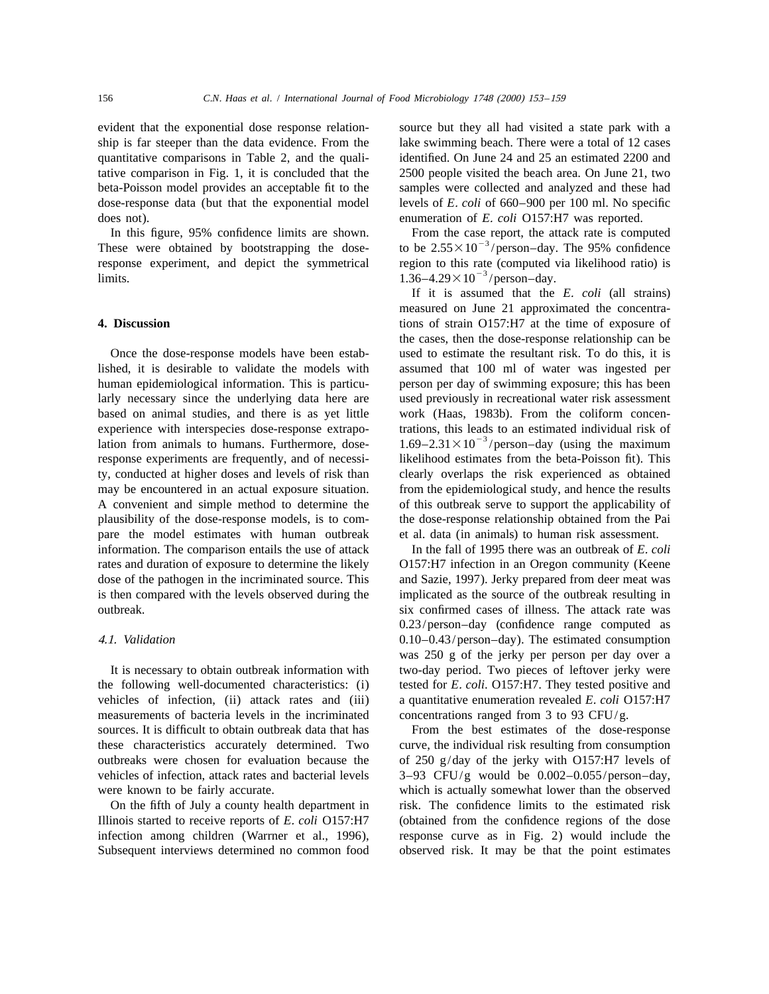evident that the exponential dose response relation- source but they all had visited a state park with a does not). enumeration of *E*. *coli* O157:H7 was reported.

response experiment, and depict the symmetrical region to this rate (computed via likelihood ratio) is  $1.36-4.29\times10^{-3}/\text{person-day}$ .

pare the model estimates with human outbreak et al. data (in animals) to human risk assessment. information. The comparison entails the use of attack In the fall of 1995 there was an outbreak of *E*. *coli* is then compared with the levels observed during the implicated as the source of the outbreak resulting in outbreak. six confirmed cases of illness. The attack rate was

the following well-documented characteristics: (i) tested for *E*. *coli*. O157:H7. They tested positive and vehicles of infection, (ii) attack rates and (iii) a quantitative enumeration revealed *E*. *coli* O157:H7 measurements of bacteria levels in the incriminated concentrations ranged from 3 to 93 CFU/g. sources. It is difficult to obtain outbreak data that has From the best estimates of the dose-response these characteristics accurately determined. Two curve, the individual risk resulting from consumption outbreaks were chosen for evaluation because the of 250  $g/day$  of the jerky with O157:H7 levels of vehicles of infection, attack rates and bacterial levels 3–93 CFU/g would be 0.002–0.055/person–day, which is actually somewhat lower than the observed

Subsequent interviews determined no common food observed risk. It may be that the point estimates

ship is far steeper than the data evidence. From the lake swimming beach. There were a total of 12 cases quantitative comparisons in Table 2, and the quali- identified. On June 24 and 25 an estimated 2200 and tative comparison in Fig. 1, it is concluded that the 2500 people visited the beach area. On June 21, two beta-Poisson model provides an acceptable fit to the samples were collected and analyzed and these had dose-response data (but that the exponential model levels of *E*. *coli* of 660–900 per 100 ml. No specific

In this figure, 95% confidence limits are shown. From the case report, the attack rate is computed These were obtained by bootstrapping the dose- to be  $2.55 \times 10^{-3}$ /person–day. The 95% confidence

If it is assumed that the *E*. *coli* (all strains) measured on June 21 approximated the concentra-**4. Discussion** tions of strain O157:H7 at the time of exposure of the cases, then the dose-response relationship can be Once the dose-response models have been estab- used to estimate the resultant risk. To do this, it is lished, it is desirable to validate the models with assumed that 100 ml of water was ingested per human epidemiological information. This is particu-<br>person per day of swimming exposure; this has been larly necessary since the underlying data here are used previously in recreational water risk assessment based on animal studies, and there is as yet little work (Haas, 1983b). From the coliform concenexperience with interspecies dose-response extrapo-<br>lations, this leads to an estimated individual risk of 23 lation from animals to humans. Furthermore, dose-<br> $1.69-2.31\times10^{-3}/\text{person-day (using the maximum)}$ response experiments are frequently, and of necessi- likelihood estimates from the beta-Poisson fit). This ty, conducted at higher doses and levels of risk than clearly overlaps the risk experienced as obtained may be encountered in an actual exposure situation. from the epidemiological study, and hence the results A convenient and simple method to determine the of this outbreak serve to support the applicability of plausibility of the dose-response models, is to com- the dose-response relationship obtained from the Pai

rates and duration of exposure to determine the likely O157:H7 infection in an Oregon community (Keene dose of the pathogen in the incriminated source. This and Sazie, 1997). Jerky prepared from deer meat was 0.23/person–day (confidence range computed as 4.1. *Validation* 0.10–0.43/person–day). The estimated consumption was 250 g of the jerky per person per day over a It is necessary to obtain outbreak information with two-day period. Two pieces of leftover jerky were

On the fifth of July a county health department in risk. The confidence limits to the estimated risk Illinois started to receive reports of *E*. *coli* O157:H7 (obtained from the confidence regions of the dose infection among children (Warrner et al., 1996), response curve as in Fig. 2) would include the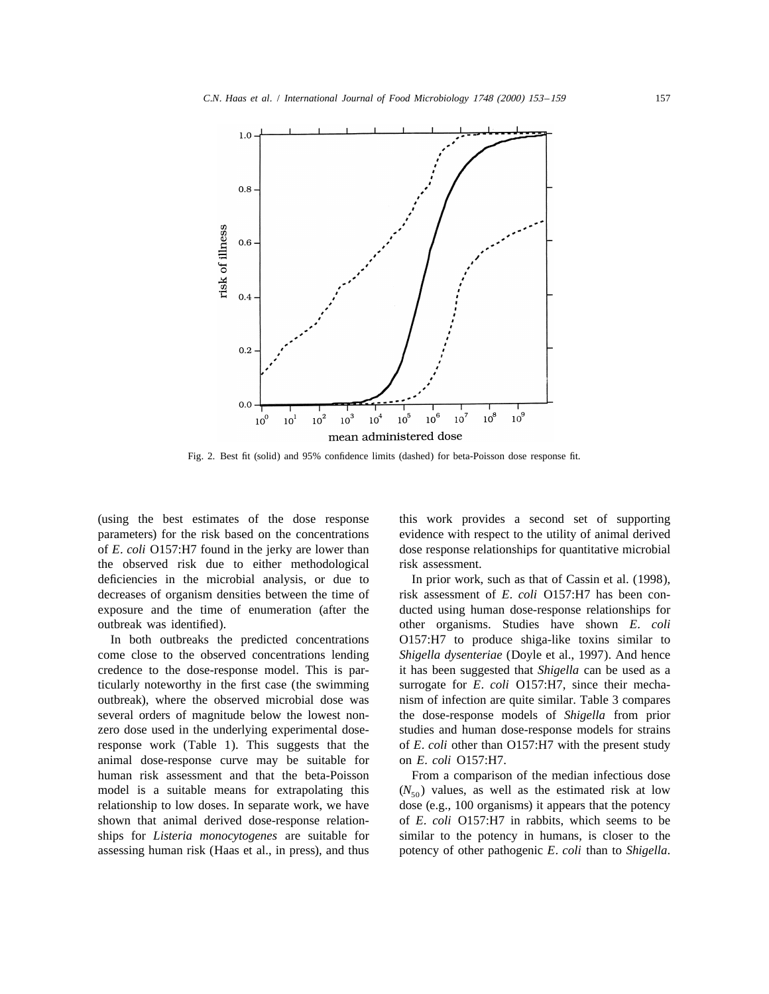

Fig. 2. Best fit (solid) and 95% confidence limits (dashed) for beta-Poisson dose response fit.

(using the best estimates of the dose response this work provides a second set of supporting parameters) for the risk based on the concentrations evidence with respect to the utility of animal derived of *E*. *coli* O157:H7 found in the jerky are lower than dose response relationships for quantitative microbial the observed risk due to either methodological risk assessment. deficiencies in the microbial analysis, or due to In prior work, such as that of Cassin et al. (1998), decreases of organism densities between the time of risk assessment of *E. coli* O157:H7 has been conexposure and the time of enumeration (after the ducted using human dose-response relationships for outbreak was identified). other organisms. Studies have shown *E*. *coli*

come close to the observed concentrations lending *Shigella dysenteriae* (Doyle et al., 1997). And hence credence to the dose-response model. This is par- it has been suggested that *Shigella* can be used as a ticularly noteworthy in the first case (the swimming surrogate for *E*. *coli* O157:H7, since their mechaoutbreak), where the observed microbial dose was nism of infection are quite similar. Table 3 compares several orders of magnitude below the lowest non- the dose-response models of *Shigella* from prior zero dose used in the underlying experimental dose- studies and human dose-response models for strains response work (Table 1). This suggests that the of *E*. *coli* other than O157:H7 with the present study animal dose-response curve may be suitable for on *E*. *coli* O157:H7. human risk assessment and that the beta-Poisson From a comparison of the median infectious dose model is a suitable means for extrapolating this  $(N_{50})$  values, as well as the estimated risk at low<br>relationship to low doses. In separate work, we have dose (e.g., 100 organisms) it appears that the potency shown that animal derived dose-response relation- of *E*. *coli* O157:H7 in rabbits, which seems to be ships for *Listeria monocytogenes* are suitable for similar to the potency in humans, is closer to the

In both outbreaks the predicted concentrations O157:H7 to produce shiga-like toxins similar to

dose (e.g., 100 organisms) it appears that the potency assessing human risk (Haas et al., in press), and thus potency of other pathogenic *E*. *coli* than to *Shigella*.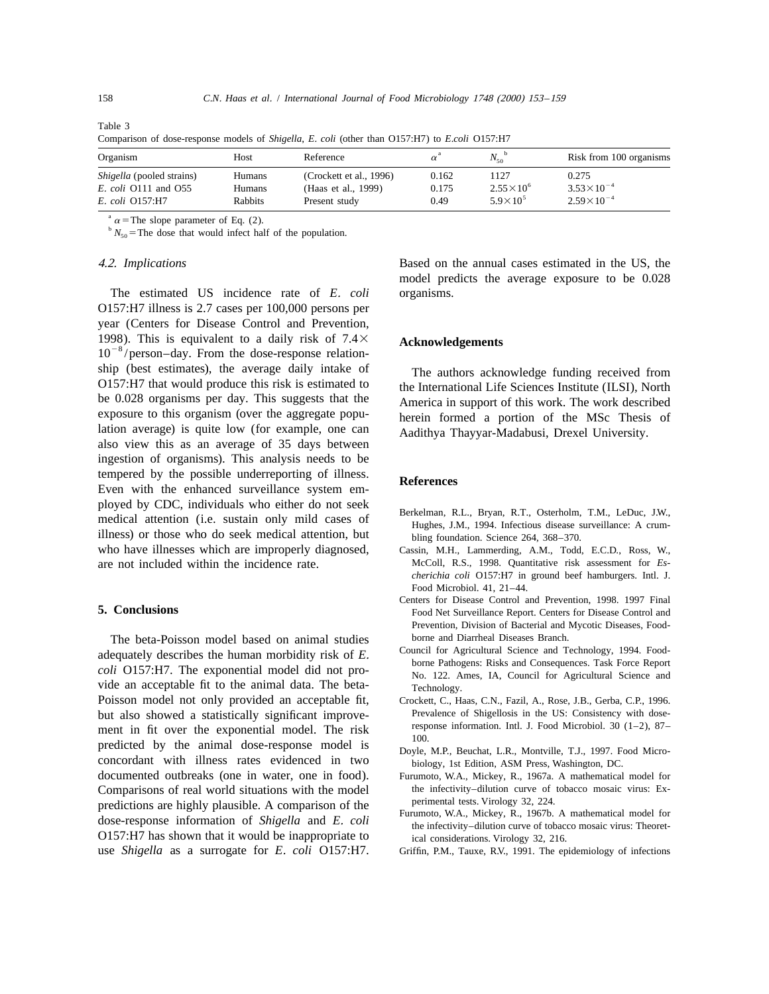| Organism                         | Host           | Reference               | $\alpha^{\mathfrak{a}}$ | $N_{50}$             | Risk from 100 organisms |
|----------------------------------|----------------|-------------------------|-------------------------|----------------------|-------------------------|
| <i>Shigella</i> (pooled strains) | Humans         | (Crockett et al., 1996) | 0.162                   | 1127                 | 0.275                   |
| <i>E. coli</i> O111 and O55      | Humans         | (Haas et al., 1999)     | 0.175                   | $2.55 \times 10^{6}$ | $3.53 \times 10^{-4}$   |
| E. coli Q157:H7                  | <b>Rabbits</b> | Present study           | 0.49                    | $5.9 \times 10^{5}$  | $2.59\times10^{-4}$     |

Table 3 Comparison of dose-response models of *Shigella*, *E*. *coli* (other than O157:H7) to *E*.*coli* O157:H7

 $\alpha$  = The slope parameter of Eq. (2).

 $b N_{50}$  = The dose that would infect half of the population.

The estimated US incidence rate of *E*. *coli* organisms. O157:H7 illness is 2.7 cases per 100,000 persons per year (Centers for Disease Control and Prevention, 1998). This is equivalent to a daily risk of  $7.4 \times 10^{-8}$  /person–day. From the dose-response relationship (best estimates), the average daily intake of The authors acknowledge funding received from lation average) is quite low (for example, one can Aadithya Thayyar-Madabusi, Drexel University. also view this as an average of 35 days between ingestion of organisms). This analysis needs to be tempered by the possible underreporting of illness. **References** Even with the enhanced surveillance system employed by CDC, individuals who either do not seek<br>medical attention (i.e. sustain only mild cases of Hughes, J.M., 1994. Infectious disease surveillance: A crumillness) or those who do seek medical attention, but bling foundation. Science 264, 368–370. who have illnesses which are improperly diagnosed, Cassin, M.H., Lammerding, A.M., Todd, E.C.D., Ross, W.,

The beta-Poisson model based on animal studies borne and Diarrheal Diseases Branch.<br>
council to council for Agricultural Science and Technology, 1994. Foodadequately describes the human morbidity risk of E.<br>
colli O157:H7. The exponential model did not process of No. 122. Ames, IA, Council for Agricultural Science and<br>
No. 122. Ames, IA, Council for Agricultural Science and vide an acceptable fit to the animal data. The beta-<br>Technology. Poisson model not only provided an acceptable fit, Crockett, C., Haas, C.N., Fazil, A., Rose, J.B., Gerba, C.P., 1996. but also showed a statistically significant improve-<br>ment in fit over the exponential model. The risk<br>response information. Intl. J. Food Microbiol. 30 (1–2), 87– ment in fit over the exponential model. The risk  $\frac{100}{100}$ . predicted by the animal dose-response model is  $\frac{100}{20}$ . predicted by the animal dose-response model is  $\frac{100}{20}$ . concordant with illness rates evidenced in two biology, 1st Edition, ASM Press, Washington, DC. documented outbreaks (one in water, one in food). Furumoto, W.A., Mickey, R., 1967a. A mathematical model for Comparisons of real world situations with the model the infectivity–dilution curve of tobacco mosaic virus: Ex-<br>
perimental tests. Virology 32, 224. predictions are highly plausible. A comparison of the perimental tests. Virology 32, 224.<br>dose-response information of *Shigella* and *E. coli* Furumoto, W.A., Mickey, R., 1967b. A mathematical model for the infectivity-di O157:H7 has shown that it would be inappropriate to ical considerations. Virology 32, 216. use *Shigella* as a surrogate for *E*. *coli* O157:H7. Griffin, P.M., Tauxe, R.V., 1991. The epidemiology of infections

4.2. *Implications* Based on the annual cases estimated in the US, the model predicts the average exposure to be 0.028

O157:H7 that would produce this risk is estimated to<br>be 0.028 organisms per day. This suggests that the America in support of this work. The work described be 0.028 organisms per day. This suggests that the America in support of this work. The work described exposure to this organism (over the aggregate popu-<br>herein formed a portion of the MSc. Thesis of herein formed a portion of the MSc Thesis of

- 
- are not included within the incidence rate. McColl, R.S., 1998. Quantitative risk assessment for *Escherichia coli* O157:H7 in ground beef hamburgers. Intl. J. Food Microbiol. 41, 21–44.
- Centers for Disease Control and Prevention, 1998. 1997 Final **5. Conclusions** Food Net Surveillance Report. Centers for Disease Control and Food Net Surveillance Report. Centers for Disease Control and Prevention, Division of Bacterial and Mycotic Diseases, Food-
	-
	-
	-
	-
	-
	-